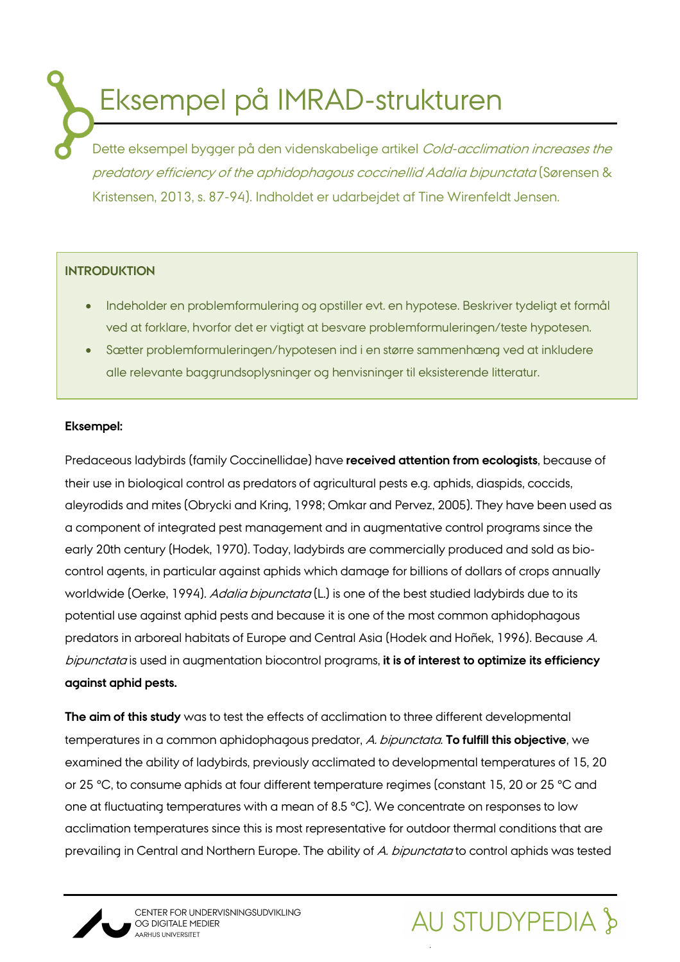Eksempel på IMRAD-strukturen

Dette eksempel bygger på den videnskabelige artikel Cold-acclimation increases the predatory efficiency of the aphidophagous coccinellid Adalia bipunctata (Sørensen & Kristensen, 2013, s. 87-94). Indholdet er udarbejdet af Tine Wirenfeldt Jensen.

# **INTRODUKTION**

- Indeholder en problemformulering og opstiller evt. en hypotese. Beskriver tydeligt et formål ved at forklare, hvorfor det er vigtigt at besvare problemformuleringen/teste hypotesen.
- Sætter problemformuleringen/hypotesen ind i en større sammenhæng ved at inkludere alle relevante baggrundsoplysninger og henvisninger til eksisterende litteratur.

### **Eksempel:**

Predaceous ladybirds (family Coccinellidae) have **received attention from ecologists**, because of their use in biological control as predators of agricultural pests e.g. aphids, diaspids, coccids, aleyrodids and mites (Obrycki and Kring, 1998; Omkar and Pervez, 2005). They have been used as a component of integrated pest management and in augmentative control programs since the early 20th century (Hodek, 1970). Today, ladybirds are commercially produced and sold as biocontrol agents, in particular against aphids which damage for billions of dollars of crops annually worldwide (Oerke, 1994). Adalia bipunctata (L.) is one of the best studied ladybirds due to its potential use against aphid pests and because it is one of the most common aphidophagous predators in arboreal habitats of Europe and Central Asia (Hodek and Hoñek, 1996). Because A. bipunctata is used in augmentation biocontrol programs, **it is of interest to optimize its efficiency against aphid pests.**

**The aim of this study** was to test the effects of acclimation to three different developmental temperatures in a common aphidophagous predator, A. bipunctata. **To fulfill this objective**, we examined the ability of ladybirds, previously acclimated to developmental temperatures of 15, 20 or 25 °C, to consume aphids at four different temperature regimes (constant 15, 20 or 25 °C and one at fluctuating temperatures with a mean of 8.5 °C). We concentrate on responses to low acclimation temperatures since this is most representative for outdoor thermal conditions that are prevailing in Central and Northern Europe. The ability of A. bipunctata to control aphids was tested



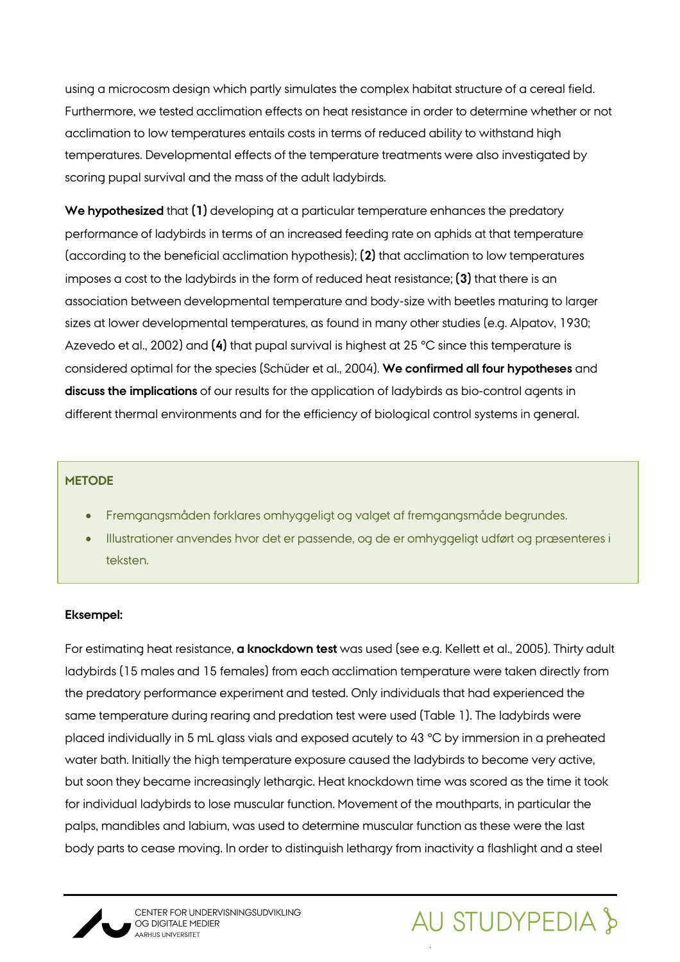using a microcosm design which partly simulates the complex habitat structure of a cereal field. Furthermore, we tested acclimation effects on heat resistance in order to determine whether or not acclimation to low temperatures entails costs in terms of reduced ability to withstand high temperatures. Developmental effects of the temperature treatments were also investigated by scoring pupal survival and the mass of the adult ladybirds.

**We hypothesized** that **(1)** developing at a particular temperature enhances the predatory performance of ladybirds in terms of an increased feeding rate on aphids at that temperature (according to the beneficial acclimation hypothesis); **(2)** that acclimation to low temperatures imposes a cost to the ladybirds in the form of reduced heat resistance; **(3)** that there is an association between developmental temperature and body-size with beetles maturing to larger sizes at lower developmental temperatures, as found in many other studies (e.g. Alpatov, 1930; Azevedo et al., 2002) and **(4)** that pupal survival is highest at 25 °C since this temperature is considered optimal for the species (Schüder et al., 2004). **We confirmed all four hypotheses** and **discuss the implications** of our results for the application of ladybirds as bio-control agents in different thermal environments and for the efficiency of biological control systems in general.

### **METODE**

- Fremgangsmåden forklares omhyggeligt og valget af fremgangsmåde begrundes.
- Illustrationer anvendes hvor det er passende, og de er omhyggeligt udført og præsenteres i teksten.

### **Eksempel:**

For estimating heat resistance, **a knockdown test** was used (see e.g. Kellett et al., 2005). Thirty adult ladybirds (15 males and 15 females) from each acclimation temperature were taken directly from the predatory performance experiment and tested. Only individuals that had experienced the same temperature during rearing and predation test were used (Table 1). The ladybirds were placed individually in 5 mL glass vials and exposed acutely to 43 °C by immersion in a preheated water bath. Initially the high temperature exposure caused the ladybirds to become very active, but soon they became increasingly lethargic. Heat knockdown time was scored as the time it took for individual ladybirds to lose muscular function. Movement of the mouthparts, in particular the palps, mandibles and labium, was used to determine muscular function as these were the last body parts to cease moving. In order to distinguish lethargy from inactivity a flashlight and a steel



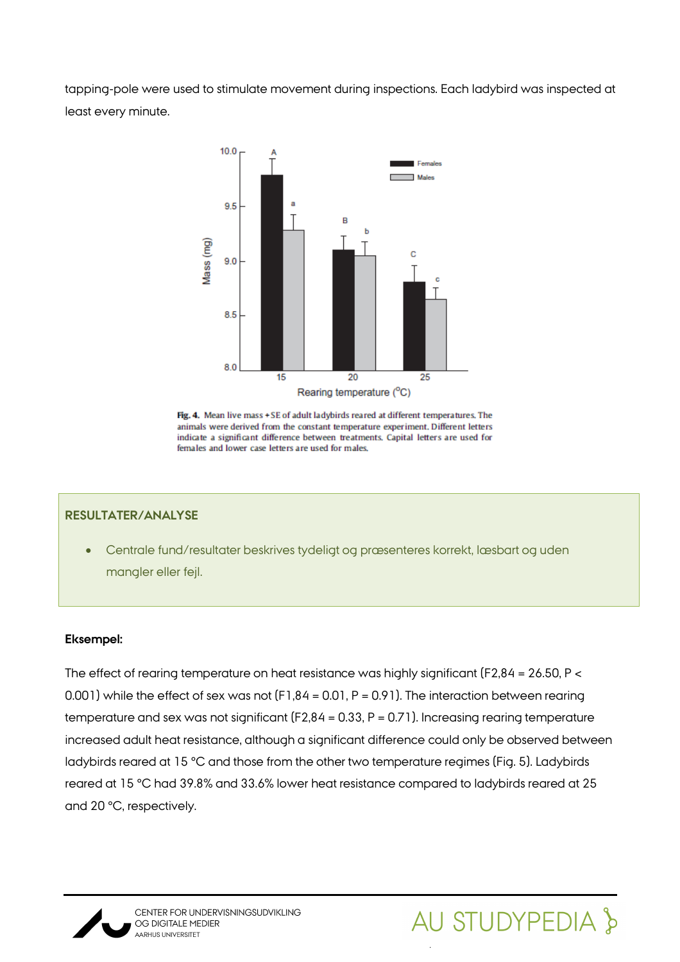tapping-pole were used to stimulate movement during inspections. Each ladybird was inspected at least every minute.



Fig. 4. Mean live mass + SE of adult ladybirds reared at different temperatures. The animals were derived from the constant temperature experiment. Different letters indicate a significant difference between treatments. Capital letters are used for females and lower case letters are used for males.

### **RESULTATER/ANALYSE**

• Centrale fund/resultater beskrives tydeligt og præsenteres korrekt, læsbart og uden mangler eller fejl.

#### **Eksempel:**

The effect of rearing temperature on heat resistance was highly significant (F2,84 = 26.50, P < 0.001) while the effect of sex was not (F1,84 = 0.01, P = 0.91). The interaction between rearing temperature and sex was not significant (F2,84 = 0.33, P = 0.71). Increasing rearing temperature increased adult heat resistance, although a significant difference could only be observed between ladybirds reared at 15 °C and those from the other two temperature regimes (Fig. 5). Ladybirds reared at 15 °C had 39.8% and 33.6% lower heat resistance compared to ladybirds reared at 25 and 20 °C, respectively.